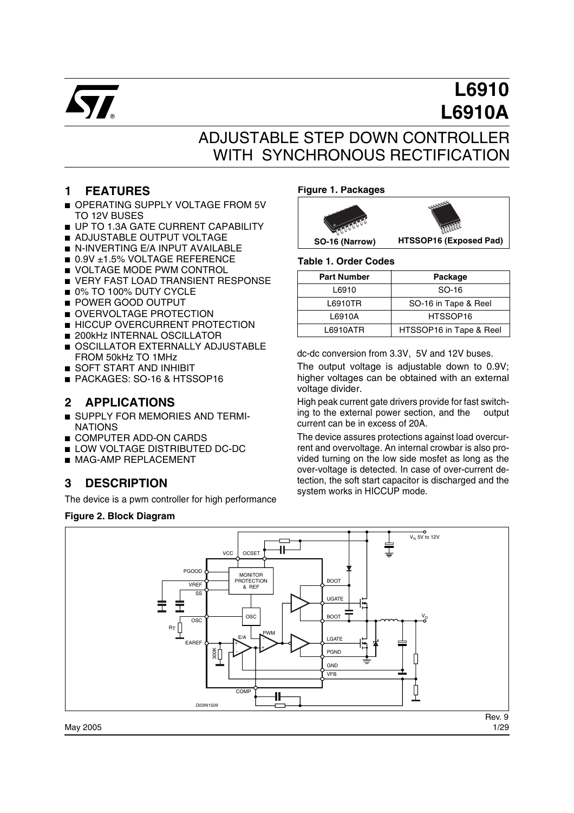

# **L6910 L6910A**

## ADJUSTABLE STEP DOWN CONTROLLER WITH SYNCHRONOUS RECTIFICATION

### **1 FEATURES**

- OPERATING SUPPLY VOLTAGE FROM 5V TO 12V BUSES
- UP TO 1.3A GATE CURRENT CAPABILITY
- ADJUSTABLE OUTPUT VOLTAGE
- N-INVERTING E/A INPUT AVAILABLE
- 0.9V ±1.5% VOLTAGE REFERENCE
- VOLTAGE MODE PWM CONTROL
- VERY FAST LOAD TRANSIENT RESPONSE
- 0% TO 100% DUTY CYCLE
- POWER GOOD OUTPUT
- OVERVOLTAGE PROTECTION
- HICCUP OVERCURRENT PROTECTION
- 200kHz INTERNAL OSCILLATOR ■ OSCILLATOR EXTERNALLY ADJUSTABLE FROM 50kHz TO 1MHz
- SOFT START AND INHIBIT
- PACKAGES: SO-16 & HTSSOP16

### **2 APPLICATIONS**

- SUPPLY FOR MEMORIES AND TERMI-NATIONS
- COMPUTER ADD-ON CARDS
- LOW VOLTAGE DISTRIBUTED DC-DC
- MAG-AMP REPLACEMENT

### **3 DESCRIPTION**

The device is a pwm controller for high performance

#### **Figure 2. Block Diagram**

#### **Figure 1. Packages**



#### **Table 1. Order Codes**

| <b>Part Number</b> | Package                 |
|--------------------|-------------------------|
| L6910              | SO-16                   |
| L6910TR            | SO-16 in Tape & Reel    |
| L6910A             | HTSSOP16                |
| L6910ATR           | HTSSOP16 in Tape & Reel |

dc-dc conversion from 3.3V, 5V and 12V buses.

The output voltage is adjustable down to 0.9V; higher voltages can be obtained with an external voltage divider.

High peak current gate drivers provide for fast switching to the external power section, and the output current can be in excess of 20A.

The device assures protections against load overcurrent and overvoltage. An internal crowbar is also provided turning on the low side mosfet as long as the over-voltage is detected. In case of over-current detection, the soft start capacitor is discharged and the system works in HICCUP mode.

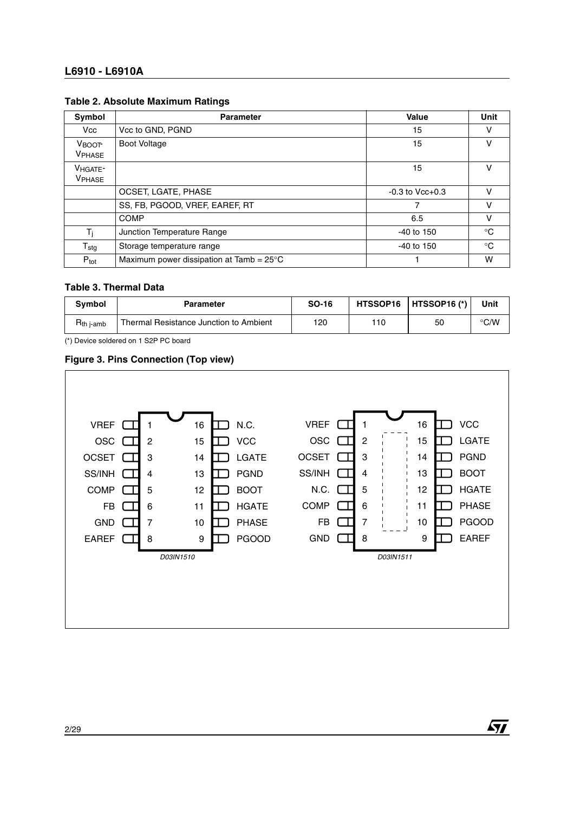#### **L6910 - L6910A**

#### **Table 2. Absolute Maximum Ratings**

| Symbol                      | <b>Parameter</b>                                   | Value                 | Unit        |
|-----------------------------|----------------------------------------------------|-----------------------|-------------|
| Vcc                         | Vcc to GND, PGND                                   | 15                    | v           |
| $V_{\text{BOOT}}$<br>VPHASE | <b>Boot Voltage</b>                                | 15                    | v           |
| VHGATE-<br><b>VPHASE</b>    |                                                    | 15                    | v           |
|                             | OCSET, LGATE, PHASE                                | $-0.3$ to $Vcc + 0.3$ |             |
|                             | SS, FB, PGOOD, VREF, EAREF, RT                     | 7                     | v           |
|                             | COMP                                               | 6.5                   | v           |
| T <sub>i</sub>              | Junction Temperature Range                         | $-40$ to 150          | $^{\circ}C$ |
| ${\sf T}_{\sf stg}$         | Storage temperature range                          | $-40$ to 150          | $^{\circ}C$ |
| $P_{\text{tot}}$            | Maximum power dissipation at Tamb = $25^{\circ}$ C |                       | w           |

#### **Table 3. Thermal Data**

| <b>Symbol</b>          | <b>Parameter</b>                       | SO-16 |     | HTSSOP16   HTSSOP16 (*) | Unit          |
|------------------------|----------------------------------------|-------|-----|-------------------------|---------------|
| $R_{th\ j\text{-amb}}$ | Thermal Resistance Junction to Ambient | 120   | 110 | 50                      | $\degree$ C/W |

(\*) Device soldered on 1 S2P PC board

#### **Figure 3. Pins Connection (Top view)**



 $\sqrt{27}$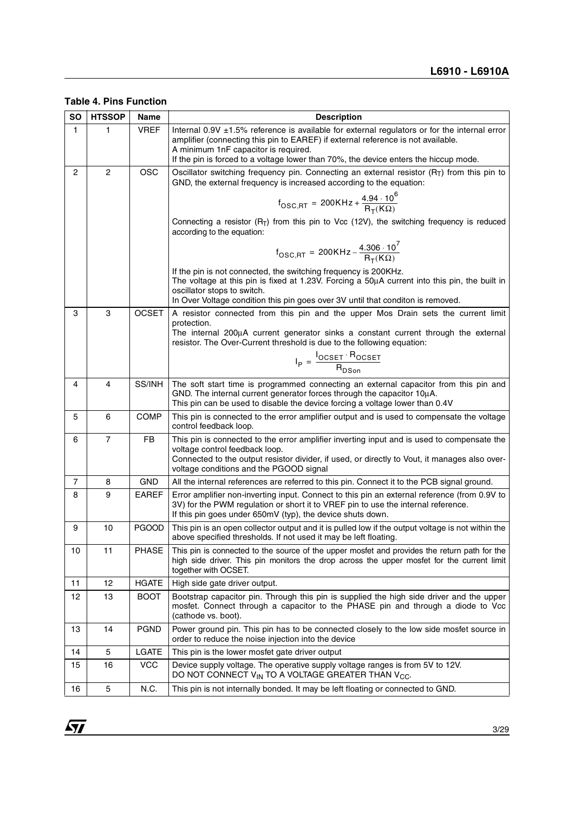**Table 4. Pins Function**

| <b>SO</b> | <b>HTSSOP</b>  | Name         | <b>Description</b>                                                                                                                                                                                                                              |  |  |
|-----------|----------------|--------------|-------------------------------------------------------------------------------------------------------------------------------------------------------------------------------------------------------------------------------------------------|--|--|
| 1.        | 1              | <b>VREF</b>  | Internal 0.9V $\pm$ 1.5% reference is available for external regulators or for the internal error<br>amplifier (connecting this pin to EAREF) if external reference is not available.<br>A minimum 1nF capacitor is required.                   |  |  |
|           |                |              | If the pin is forced to a voltage lower than 70%, the device enters the hiccup mode.                                                                                                                                                            |  |  |
| 2         | $\overline{2}$ | <b>OSC</b>   | Oscillator switching frequency pin. Connecting an external resistor $(R_T)$ from this pin to<br>GND, the external frequency is increased according to the equation:                                                                             |  |  |
|           |                |              | $f_{\text{OSC,RT}} = 200 \text{K} \text{Hz} + \frac{4.94 \cdot 10^6}{\text{R}_{\text{T}}(\text{K}\Omega)}$                                                                                                                                      |  |  |
|           |                |              | Connecting a resistor $(R_T)$ from this pin to Vcc (12V), the switching frequency is reduced<br>according to the equation:                                                                                                                      |  |  |
|           |                |              | $f_{\text{OSC,RT}} = 200\text{KHz} - \frac{4.306 \cdot 10^7}{\text{R}_{\text{T}}(\text{K}\Omega)}$                                                                                                                                              |  |  |
|           |                |              | If the pin is not connected, the switching frequency is 200KHz.<br>The voltage at this pin is fixed at 1.23V. Forcing a 50µA current into this pin, the built in<br>oscillator stops to switch.                                                 |  |  |
|           |                |              | In Over Voltage condition this pin goes over 3V until that conditon is removed.                                                                                                                                                                 |  |  |
| 3         | 3              | <b>OCSET</b> | A resistor connected from this pin and the upper Mos Drain sets the current limit<br>protection.                                                                                                                                                |  |  |
|           |                |              | The internal 200µA current generator sinks a constant current through the external<br>resistor. The Over-Current threshold is due to the following equation:                                                                                    |  |  |
|           |                |              | $I_P = \frac{I_{OCSET} \cdot H_{OCSET}}{R_{DSpin}}$                                                                                                                                                                                             |  |  |
|           |                |              |                                                                                                                                                                                                                                                 |  |  |
| 4         | 4              | SS/INH       | The soft start time is programmed connecting an external capacitor from this pin and<br>GND. The internal current generator forces through the capacitor 10µA.<br>This pin can be used to disable the device forcing a voltage lower than 0.4V  |  |  |
| 5         | 6              | <b>COMP</b>  | This pin is connected to the error amplifier output and is used to compensate the voltage<br>control feedback loop.                                                                                                                             |  |  |
| 6         | $\overline{7}$ | FB           | This pin is connected to the error amplifier inverting input and is used to compensate the                                                                                                                                                      |  |  |
|           |                |              | voltage control feedback loop.<br>Connected to the output resistor divider, if used, or directly to Vout, it manages also over-<br>voltage conditions and the PGOOD signal                                                                      |  |  |
| 7         | 8              | <b>GND</b>   | All the internal references are referred to this pin. Connect it to the PCB signal ground.                                                                                                                                                      |  |  |
| 8         | 9              | <b>EAREF</b> | Error amplifier non-inverting input. Connect to this pin an external reference (from 0.9V to<br>3V) for the PWM regulation or short it to VREF pin to use the internal reference.<br>If this pin goes under 650mV (typ), the device shuts down. |  |  |
| 9         | 10             | <b>PGOOD</b> | This pin is an open collector output and it is pulled low if the output voltage is not within the<br>above specified thresholds. If not used it may be left floating.                                                                           |  |  |
| 10        | 11             | PHASE        | This pin is connected to the source of the upper mosfet and provides the return path for the<br>high side driver. This pin monitors the drop across the upper mosfet for the current limit<br>together with OCSET.                              |  |  |
| 11        | 12             | <b>HGATE</b> | High side gate driver output.                                                                                                                                                                                                                   |  |  |
| 12        | 13             | <b>BOOT</b>  | Bootstrap capacitor pin. Through this pin is supplied the high side driver and the upper<br>mosfet. Connect through a capacitor to the PHASE pin and through a diode to Vcc<br>(cathode vs. boot).                                              |  |  |
| 13        | 14             | <b>PGND</b>  | Power ground pin. This pin has to be connected closely to the low side mosfet source in<br>order to reduce the noise injection into the device                                                                                                  |  |  |
| 14        | 5              | LGATE        | This pin is the lower mosfet gate driver output                                                                                                                                                                                                 |  |  |
| 15        | 16             | <b>VCC</b>   | Device supply voltage. The operative supply voltage ranges is from 5V to 12V.<br>DO NOT CONNECT V <sub>IN</sub> TO A VOLTAGE GREATER THAN V <sub>CC</sub> .                                                                                     |  |  |
| 16        | 5              | N.C.         | This pin is not internally bonded. It may be left floating or connected to GND.                                                                                                                                                                 |  |  |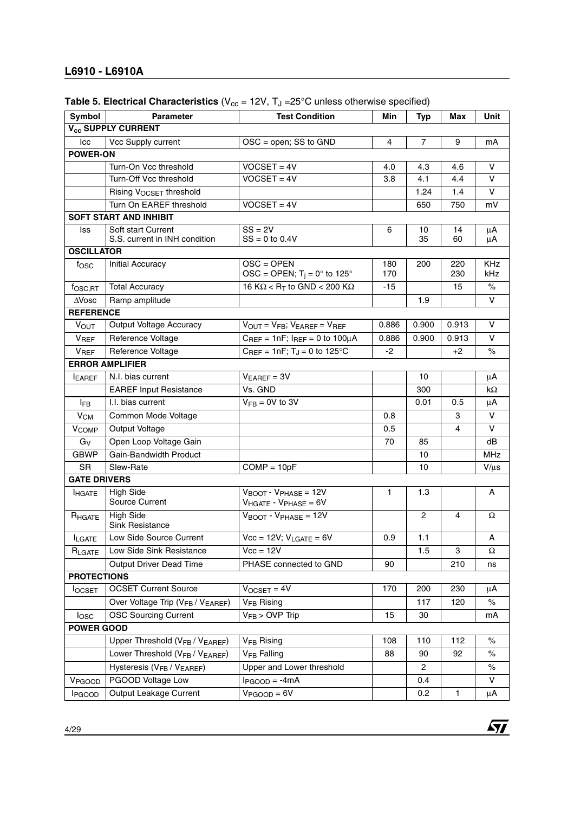#### **L6910 - L6910A**

| Symbol                    | Parameter                                                 | <b>Test Condition</b>                                                        | Min          | <b>Typ</b>     | Max          | Unit              |
|---------------------------|-----------------------------------------------------------|------------------------------------------------------------------------------|--------------|----------------|--------------|-------------------|
|                           | V <sub>cc</sub> SUPPLY CURRENT                            |                                                                              |              |                |              |                   |
| Icc                       | Vcc Supply current                                        | $OSC = open$ ; SS to GND                                                     | 4            | $\overline{7}$ | 9            | mA                |
| <b>POWER-ON</b>           |                                                           |                                                                              |              |                |              |                   |
|                           | Turn-On Vcc threshold                                     | $VOCSET = 4V$                                                                | 4.0          | 4.3            | 4.6          | $\vee$            |
|                           | Turn-Off Vcc threshold                                    | $VOCSET = 4V$                                                                | 3.8          | 4.1            | 4.4          | $\vee$            |
|                           | Rising VOCSET threshold                                   |                                                                              |              | 1.24           | 1.4          | V                 |
|                           | Turn On EAREF threshold                                   | $VOCSET = 4V$                                                                |              | 650            | 750          | mV                |
|                           | <b>SOFT START AND INHIBIT</b>                             |                                                                              |              |                |              |                   |
| lss                       | Soft start Current<br>S.S. current in INH condition       | $SS = 2V$<br>$SS = 0$ to 0.4V                                                | 6            | 10<br>35       | 14<br>60     | μA<br>μA          |
| <b>OSCILLATOR</b>         |                                                           |                                                                              |              |                |              |                   |
| fosc                      | Initial Accuracy                                          | $OSC = OPEN$<br>OSC = OPEN; $T_i = 0^\circ$ to 125°                          | 180<br>170   | 200            | 220<br>230   | <b>KHz</b><br>kHz |
| fosc,RT                   | <b>Total Accuracy</b>                                     | 16 K $\Omega$ < R <sub>T</sub> to GND < 200 K $\Omega$                       | $-15$        |                | 15           | $\%$              |
| $\triangle$ Vosc          | Ramp amplitude                                            |                                                                              |              | 1.9            |              | V                 |
| <b>REFERENCE</b>          |                                                           |                                                                              |              |                |              |                   |
| <b>VOUT</b>               | Output Voltage Accuracy                                   | $V_{OUT} = V_{FB}$ ; $V_{EAREF} = V_{REF}$                                   | 0.886        | 0.900          | 0.913        | v                 |
| <b>VREF</b>               | Reference Voltage                                         | $C_{REF} = 1nF$ ; $I_{REF} = 0$ to $100\mu A$                                | 0.886        | 0.900          | 0.913        | v                 |
| <b>V<sub>REF</sub></b>    | Reference Voltage                                         | $C_{REF} = 1nF$ ; T <sub>J</sub> = 0 to 125°C                                | $-2$         |                | +2           | $\%$              |
|                           | <b>ERROR AMPLIFIER</b>                                    |                                                                              |              |                |              |                   |
| <b>LEAREF</b>             | N.I. bias current                                         | $V_{EAREF} = 3V$                                                             |              | 10             |              | μA                |
|                           | <b>EAREF Input Resistance</b>                             | Vs. GND                                                                      |              | 300            |              | kΩ                |
| <b>IFB</b>                | I.I. bias current                                         | $V_{FB} = 0V$ to 3V                                                          |              | 0.01           | 0.5          | $\mu$ A           |
| $V_{CM}$                  | Common Mode Voltage                                       |                                                                              | 0.8          |                | 3            | $\vee$            |
| <b>V<sub>COMP</sub></b>   | Output Voltage                                            |                                                                              | 0.5          |                | 4            | $\vee$            |
| $G_V$                     | Open Loop Voltage Gain                                    |                                                                              | 70           | 85             |              | dB                |
| <b>GBWP</b>               | Gain-Bandwidth Product                                    |                                                                              |              | 10             |              | <b>MHz</b>        |
| <b>SR</b>                 | Slew-Rate                                                 | $COMP = 10pF$                                                                |              | 10             |              | $V/\mu s$         |
| <b>GATE DRIVERS</b>       |                                                           |                                                                              |              |                |              |                   |
| <b>HGATE</b>              | <b>High Side</b><br>Source Current                        | $V_{\text{BOOT}}$ - $V_{\text{PHASE}}$ = 12V<br>$V_{HGATE} - V_{PHASE} = 6V$ | $\mathbf{1}$ | 1.3            |              | Α                 |
| RHGATE                    | <b>High Side</b><br><b>Sink Resistance</b>                | $V_{\text{BOOT}}$ - $V_{\text{PHASE}}$ = 12V                                 |              | 2              | 4            | Ω                 |
| <b>ILGATE</b>             | Low Side Source Current                                   | $\overline{Vcc}$ = 12V; $V_{LGATE}$ = 6V                                     | 0.9          | $1.1$          |              | Α                 |
| RLGATE                    | Low Side Sink Resistance                                  | $Vcc = 12V$                                                                  |              | 1.5            | 3            | Ω                 |
|                           | Output Driver Dead Time                                   | PHASE connected to GND                                                       | 90           |                | 210          | ns                |
| <b>PROTECTIONS</b>        |                                                           |                                                                              |              |                |              |                   |
| <b>I</b> OCSET            | <b>OCSET Current Source</b>                               | $V$ OCSET = 4V                                                               | 170          | 200            | 230          | μA                |
|                           | Over Voltage Trip (V <sub>FB</sub> / V <sub>EAREF</sub> ) | V <sub>FB</sub> Rising                                                       |              | 117            | 120          | $\%$              |
| losc                      | <b>OSC Sourcing Current</b>                               | $\overline{V_{FB}}$ > OVP Trip                                               | 15           | 30             |              | mA                |
| <b>POWER GOOD</b>         |                                                           |                                                                              |              |                |              |                   |
|                           | Upper Threshold (V <sub>FB</sub> / V <sub>EAREF</sub> )   | V <sub>FB</sub> Rising                                                       | 108          | 110            | 112          | $\%$              |
|                           | Lower Threshold (V <sub>FB</sub> / V <sub>EAREF</sub> )   | <b>V<sub>FB</sub></b> Falling                                                | 88           | 90             | 92           | $\%$              |
|                           | Hysteresis (VFB / VEAREF)                                 | Upper and Lower threshold                                                    |              | 2              |              | $\%$              |
| V <sub>PGOOD</sub>        | PGOOD Voltage Low                                         | $I_{PGOOD} = -4mA$                                                           |              | 0.4            |              | V                 |
| <b>I</b> <sub>PGOOD</sub> | Output Leakage Current                                    | $V_{PGOOD} = 6V$                                                             |              | 0.2            | $\mathbf{1}$ | $\mu$ A           |
|                           |                                                           |                                                                              |              |                |              |                   |

**Table 5. Electrical Characteristics** ( $V_{cc}$  = 12V,  $T_J$  =25°C unless otherwise specified)

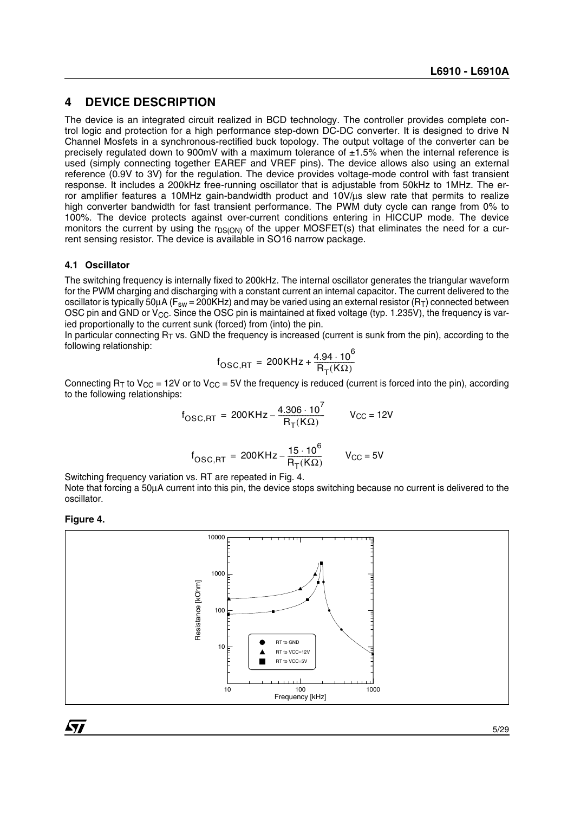### **4 DEVICE DESCRIPTION**

The device is an integrated circuit realized in BCD technology. The controller provides complete control logic and protection for a high performance step-down DC-DC converter. It is designed to drive N Channel Mosfets in a synchronous-rectified buck topology. The output voltage of the converter can be precisely regulated down to 900mV with a maximum tolerance of ±1.5% when the internal reference is used (simply connecting together EAREF and VREF pins). The device allows also using an external reference (0.9V to 3V) for the regulation. The device provides voltage-mode control with fast transient response. It includes a 200kHz free-running oscillator that is adjustable from 50kHz to 1MHz. The error amplifier features a 10MHz gain-bandwidth product and 10V/µs slew rate that permits to realize high converter bandwidth for fast transient performance. The PWM duty cycle can range from 0% to 100%. The device protects against over-current conditions entering in HICCUP mode. The device monitors the current by using the  $r_{DS(ON)}$  of the upper MOSFET(s) that eliminates the need for a current sensing resistor. The device is available in SO16 narrow package.

#### **4.1 Oscillator**

The switching frequency is internally fixed to 200kHz. The internal oscillator generates the triangular waveform for the PWM charging and discharging with a constant current an internal capacitor. The current delivered to the oscillator is typically 50 $\mu$ A (F<sub>sw</sub> = 200KHz) and may be varied using an external resistor (R<sub>T</sub>) connected between OSC pin and GND or  $V_{CC}$ . Since the OSC pin is maintained at fixed voltage (typ. 1.235V), the frequency is varied proportionally to the current sunk (forced) from (into) the pin.

In particular connecting  $R<sub>T</sub>$  vs. GND the frequency is increased (current is sunk from the pin), according to the following relationship:

$$
f_{\text{OSC,RT}} = 200\,\text{KHz} + \frac{4.94 \cdot 10^6}{\text{R}_{\text{T}}(\text{K}\Omega)}
$$

Connecting  $R_T$  to  $V_{CC}$  = 12V or to  $V_{CC}$  = 5V the frequency is reduced (current is forced into the pin), according to the following relationships:

$$
f_{\text{OSC,RT}} = 200\text{KHz} - \frac{4.306 \cdot 10^7}{\text{R}_{\text{T}}(\text{K}\Omega)}
$$
  $V_{\text{CC}} = 12\text{V}$ 

$$
f_{\text{OSC,RT}} = 200 \text{K} \text{Hz} - \frac{15 \cdot 10^6}{\text{R}_{\text{T}}(\text{K}\Omega)}
$$
  $V_{\text{CC}} = 5 \text{V}$ 

Switching frequency variation vs. RT are repeated in Fig. 4.

Note that forcing a 50µA current into this pin, the device stops switching because no current is delivered to the oscillator.

#### **Figure 4.**



57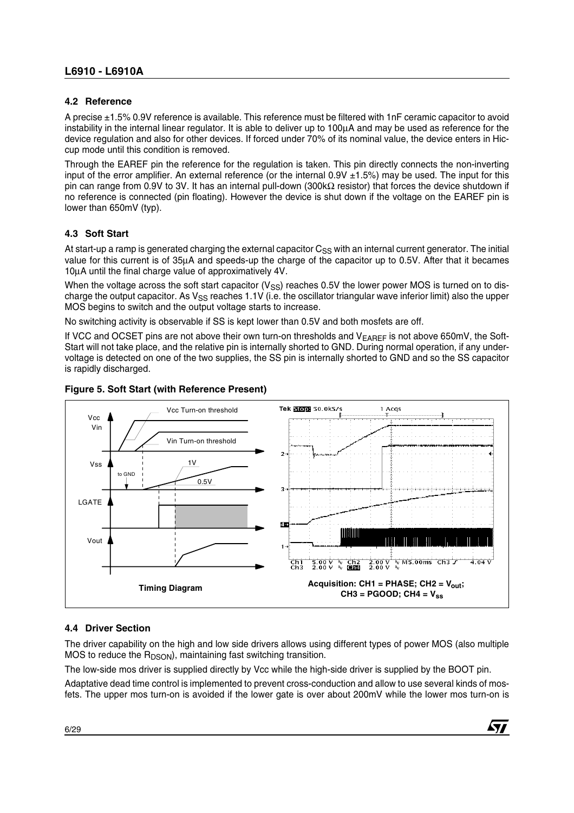#### **4.2 Reference**

A precise ±1.5% 0.9V reference is available. This reference must be filtered with 1nF ceramic capacitor to avoid instability in the internal linear regulator. It is able to deliver up to 100µA and may be used as reference for the device regulation and also for other devices. If forced under 70% of its nominal value, the device enters in Hiccup mode until this condition is removed.

Through the EAREF pin the reference for the regulation is taken. This pin directly connects the non-inverting input of the error amplifier. An external reference (or the internal  $0.9V \pm 1.5$ %) may be used. The input for this pin can range from 0.9V to 3V. It has an internal pull-down (300kΩ resistor) that forces the device shutdown if no reference is connected (pin floating). However the device is shut down if the voltage on the EAREF pin is lower than 650mV (typ).

#### **4.3 Soft Start**

At start-up a ramp is generated charging the external capacitor C<sub>SS</sub> with an internal current generator. The initial value for this current is of 35µA and speeds-up the charge of the capacitor up to 0.5V. After that it becames 10µA until the final charge value of approximatively 4V.

When the voltage across the soft start capacitor ( $V_{SS}$ ) reaches 0.5V the lower power MOS is turned on to discharge the output capacitor. As  $V_{SS}$  reaches 1.1V (i.e. the oscillator triangular wave inferior limit) also the upper MOS begins to switch and the output voltage starts to increase.

No switching activity is observable if SS is kept lower than 0.5V and both mosfets are off.

If VCC and OCSET pins are not above their own turn-on thresholds and  $V_{\text{FARFF}}$  is not above 650mV, the Soft-Start will not take place, and the relative pin is internally shorted to GND. During normal operation, if any undervoltage is detected on one of the two supplies, the SS pin is internally shorted to GND and so the SS capacitor is rapidly discharged.



#### **Figure 5. Soft Start (with Reference Present)**

#### **4.4 Driver Section**

The driver capability on the high and low side drivers allows using different types of power MOS (also multiple MOS to reduce the  $R_{DSON}$ , maintaining fast switching transition.

The low-side mos driver is supplied directly by Vcc while the high-side driver is supplied by the BOOT pin.

Adaptative dead time control is implemented to prevent cross-conduction and allow to use several kinds of mosfets. The upper mos turn-on is avoided if the lower gate is over about 200mV while the lower mos turn-on is

**Ayy**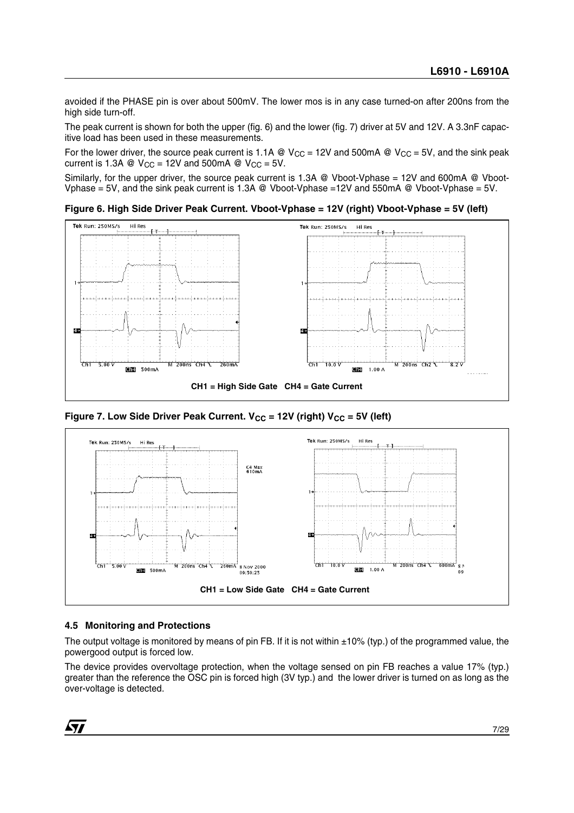avoided if the PHASE pin is over about 500mV. The lower mos is in any case turned-on after 200ns from the high side turn-off.

The peak current is shown for both the upper (fig. 6) and the lower (fig. 7) driver at 5V and 12V. A 3.3nF capacitive load has been used in these measurements.

For the lower driver, the source peak current is 1.1A @  $V_{CC}$  = 12V and 500mA @  $V_{CC}$  = 5V, and the sink peak current is 1.3A @  $V_{CC}$  = 12V and 500mA @  $V_{CC}$  = 5V.

Similarly, for the upper driver, the source peak current is 1.3A @ Vboot-Vphase = 12V and 600mA @ Vboot-Vphase = 5V, and the sink peak current is 1.3A @ Vboot-Vphase =12V and 550mA @ Vboot-Vphase = 5V.

**Figure 6. High Side Driver Peak Current. Vboot-Vphase = 12V (right) Vboot-Vphase = 5V (left)**



Figure 7. Low Side Driver Peak Current. V<sub>CC</sub> = 12V (right) V<sub>CC</sub> = 5V (left)



#### **4.5 Monitoring and Protections**

The output voltage is monitored by means of pin FB. If it is not within  $\pm 10\%$  (typ.) of the programmed value, the powergood output is forced low.

The device provides overvoltage protection, when the voltage sensed on pin FB reaches a value 17% (typ.) greater than the reference the OSC pin is forced high (3V typ.) and the lower driver is turned on as long as the over-voltage is detected.

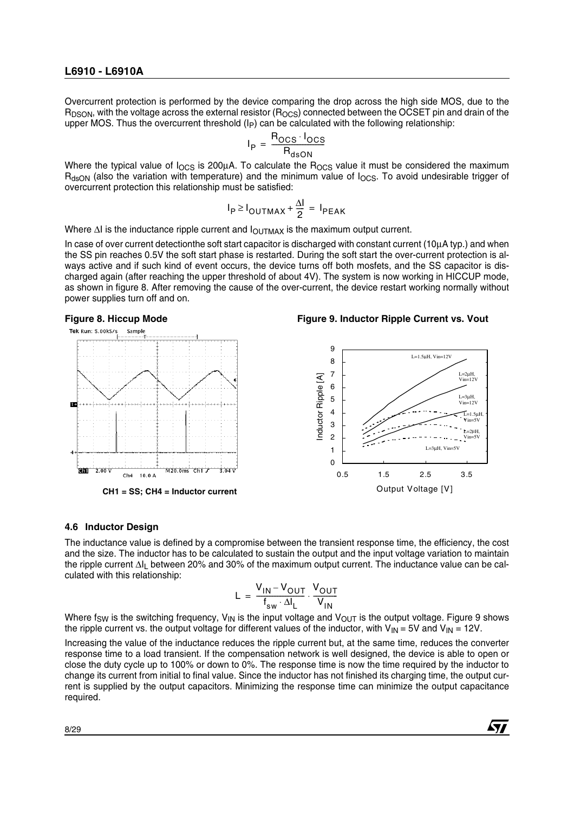Overcurrent protection is performed by the device comparing the drop across the high side MOS, due to the  $R_{DSON}$ , with the voltage across the external resistor ( $R_{OCS}$ ) connected between the OCSET pin and drain of the upper MOS. Thus the overcurrent threshold  $(\vert p \vert)$  can be calculated with the following relationship:

$$
I_{P} = \frac{R_{OCS} \cdot I_{OCS}}{R_{dSDN}}
$$

Where the typical value of  $I_{OCS}$  is 200 $\mu$ A. To calculate the  $R_{OCS}$  value it must be considered the maximum RdsON (also the variation with temperature) and the minimum value of IOCS. To avoid undesirable trigger of overcurrent protection this relationship must be satisfied:

$$
I_P \ge I_{\text{OUTMAX}} + \frac{\Delta I}{2} = I_{\text{PEAK}}
$$

Where  $\Delta I$  is the inductance ripple current and  $I_{\text{OUTMAX}}$  is the maximum output current.

In case of over current detectionthe soft start capacitor is discharged with constant current (10µA typ.) and when the SS pin reaches 0.5V the soft start phase is restarted. During the soft start the over-current protection is always active and if such kind of event occurs, the device turns off both mosfets, and the SS capacitor is discharged again (after reaching the upper threshold of about 4V). The system is now working in HICCUP mode, as shown in figure 8. After removing the cause of the over-current, the device restart working normally without power supplies turn off and on.





 $\sqrt{1}$ 



#### **4.6 Inductor Design**

The inductance value is defined by a compromise between the transient response time, the efficiency, the cost and the size. The inductor has to be calculated to sustain the output and the input voltage variation to maintain the ripple current ∆IL between 20% and 30% of the maximum output current. The inductance value can be calculated with this relationship:

$$
L = \frac{V_{IN} - V_{OUT}}{f_{sw} \cdot \Delta I_L} \cdot \frac{V_{OUT}}{V_{IN}}
$$

Where f<sub>SW</sub> is the switching frequency, V<sub>IN</sub> is the input voltage and V<sub>OUT</sub> is the output voltage. Figure 9 shows the ripple current vs. the output voltage for different values of the inductor, with  $V_{IN} = 5V$  and  $V_{IN} = 12V$ .

Increasing the value of the inductance reduces the ripple current but, at the same time, reduces the converter response time to a load transient. If the compensation network is well designed, the device is able to open or close the duty cycle up to 100% or down to 0%. The response time is now the time required by the inductor to change its current from initial to final value. Since the inductor has not finished its charging time, the output current is supplied by the output capacitors. Minimizing the response time can minimize the output capacitance required.

8/29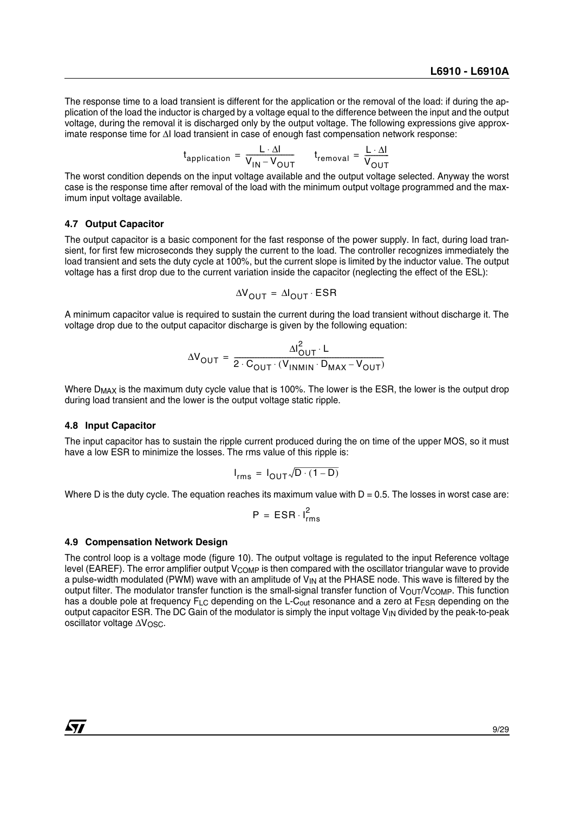The response time to a load transient is different for the application or the removal of the load: if during the application of the load the inductor is charged by a voltage equal to the difference between the input and the output voltage, during the removal it is discharged only by the output voltage. The following expressions give approximate response time for ∆I load transient in case of enough fast compensation network response:

$$
t_{application} = \frac{L \cdot \Delta I}{V_{IN} - V_{OUT}}
$$
  $t_{removal} = \frac{L \cdot \Delta I}{V_{OUT}}$ 

The worst condition depends on the input voltage available and the output voltage selected. Anyway the worst case is the response time after removal of the load with the minimum output voltage programmed and the maximum input voltage available.

#### **4.7 Output Capacitor**

The output capacitor is a basic component for the fast response of the power supply. In fact, during load transient, for first few microseconds they supply the current to the load. The controller recognizes immediately the load transient and sets the duty cycle at 100%, but the current slope is limited by the inductor value. The output voltage has a first drop due to the current variation inside the capacitor (neglecting the effect of the ESL):

$$
\Delta V_{OUT} = \Delta I_{OUT} \cdot ESR
$$

A minimum capacitor value is required to sustain the current during the load transient without discharge it. The voltage drop due to the output capacitor discharge is given by the following equation:

$$
\Delta V_{OUT} = \frac{\Delta I_{OUT}^2 \cdot L}{2 \cdot C_{OUT} \cdot (V_{INMIN} \cdot D_{MAX} - V_{OUT})}
$$

Where  $D_{MAX}$  is the maximum duty cycle value that is 100%. The lower is the ESR, the lower is the output drop during load transient and the lower is the output voltage static ripple.

#### **4.8 Input Capacitor**

The input capacitor has to sustain the ripple current produced during the on time of the upper MOS, so it must have a low ESR to minimize the losses. The rms value of this ripple is:

$$
I_{rms} = I_{OUT} \sqrt{D \cdot (1 - D)}
$$

Where D is the duty cycle. The equation reaches its maximum value with  $D = 0.5$ . The losses in worst case are:

$$
P = ESR \cdot I_{rms}^2
$$

#### **4.9 Compensation Network Design**

The control loop is a voltage mode (figure 10). The output voltage is regulated to the input Reference voltage level (EAREF). The error amplifier output  $V_{\text{COMP}}$  is then compared with the oscillator triangular wave to provide a pulse-width modulated (PWM) wave with an amplitude of  $V_{IN}$  at the PHASE node. This wave is filtered by the output filter. The modulator transfer function is the small-signal transfer function of  $V_{\text{OUT}}/V_{\text{COMP}}$ . This function has a double pole at frequency  $F_{LC}$  depending on the L-C<sub>out</sub> resonance and a zero at F<sub>ESR</sub> depending on the output capacitor ESR. The DC Gain of the modulator is simply the input voltage  $V_{\text{IN}}$  divided by the peak-to-peak oscillator voltage ∆V<sub>OSC</sub>.

*ky*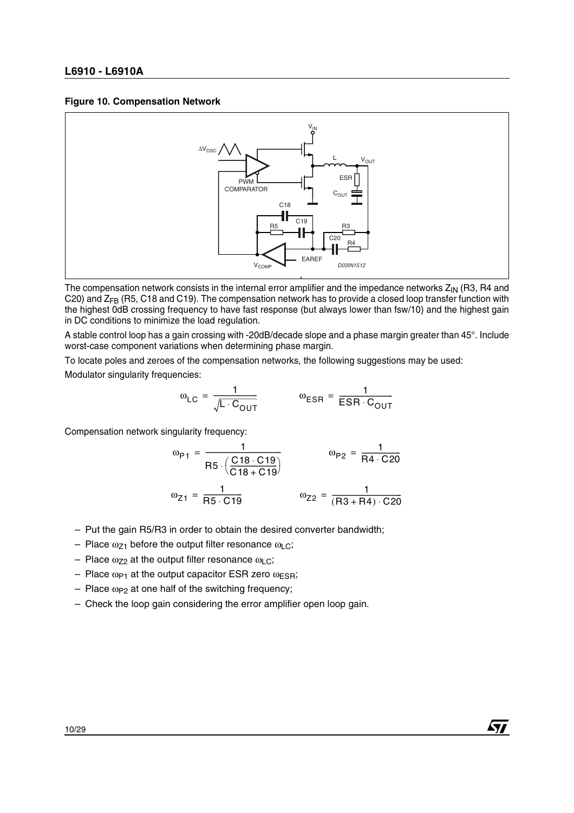#### **Figure 10. Compensation Network**



The compensation network consists in the internal error amplifier and the impedance networks Z<sub>IN</sub> (R3, R4 and C20) and ZFB (R5, C18 and C19). The compensation network has to provide a closed loop transfer function with the highest 0dB crossing frequency to have fast response (but always lower than fsw/10) and the highest gain in DC conditions to minimize the load regulation.

A stable control loop has a gain crossing with -20dB/decade slope and a phase margin greater than 45°. Include worst-case component variations when determining phase margin.

To locate poles and zeroes of the compensation networks, the following suggestions may be used:

Modulator singularity frequencies:

$$
\omega_{LC} = \frac{1}{\sqrt{L \cdot C_{OUT}}} \qquad \qquad \omega_{ESR} = \frac{1}{ESR \cdot C_{OUT}}
$$

Compensation network singularity frequency:

$$
\omega_{P1} = \frac{1}{R5 \cdot \left(\frac{C18 \cdot C19}{C18 + C19}\right)} \qquad \omega_{P2} = \frac{1}{R4 \cdot C20}
$$

$$
\omega_{Z1} = \frac{1}{R5 \cdot C19} \qquad \omega_{Z2} = \frac{1}{(R3 + R4) \cdot C20}
$$

57

- Put the gain R5/R3 in order to obtain the desired converter bandwidth;
- Place  $\omega_{Z1}$  before the output filter resonance  $\omega_{L}$ .
- Place  $ω_{72}$  at the output filter resonance ω<sub>LC</sub>;
- Place  $\omega_{P1}$  at the output capacitor ESR zero  $\omega_{ESR}$ ;
- $-$  Place  $\omega_{P2}$  at one half of the switching frequency;
- Check the loop gain considering the error amplifier open loop gain.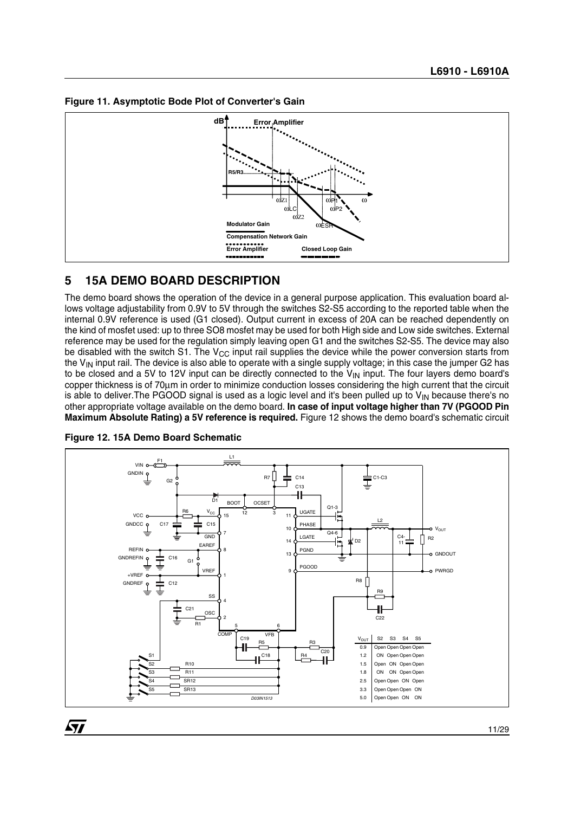



### **5 15A DEMO BOARD DESCRIPTION**

The demo board shows the operation of the device in a general purpose application. This evaluation board allows voltage adjustability from 0.9V to 5V through the switches S2-S5 according to the reported table when the internal 0.9V reference is used (G1 closed). Output current in excess of 20A can be reached dependently on the kind of mosfet used: up to three SO8 mosfet may be used for both High side and Low side switches. External reference may be used for the regulation simply leaving open G1 and the switches S2-S5. The device may also be disabled with the switch S1. The  $V_{CC}$  input rail supplies the device while the power conversion starts from the  $V_{\text{IN}}$  input rail. The device is also able to operate with a single supply voltage; in this case the jumper G2 has to be closed and a 5V to 12V input can be directly connected to the  $V_{\text{IN}}$  input. The four layers demo board's copper thickness is of 70µm in order to minimize conduction losses considering the high current that the circuit is able to deliver. The PGOOD signal is used as a logic level and it's been pulled up to  $V_{\text{IN}}$  because there's no other appropriate voltage available on the demo board. **In case of input voltage higher than 7V (PGOOD Pin Maximum Absolute Rating) a 5V reference is required.** Figure 12 shows the demo board's schematic circuit



**Figure 12. 15A Demo Board Schematic**

 $\sqrt{27}$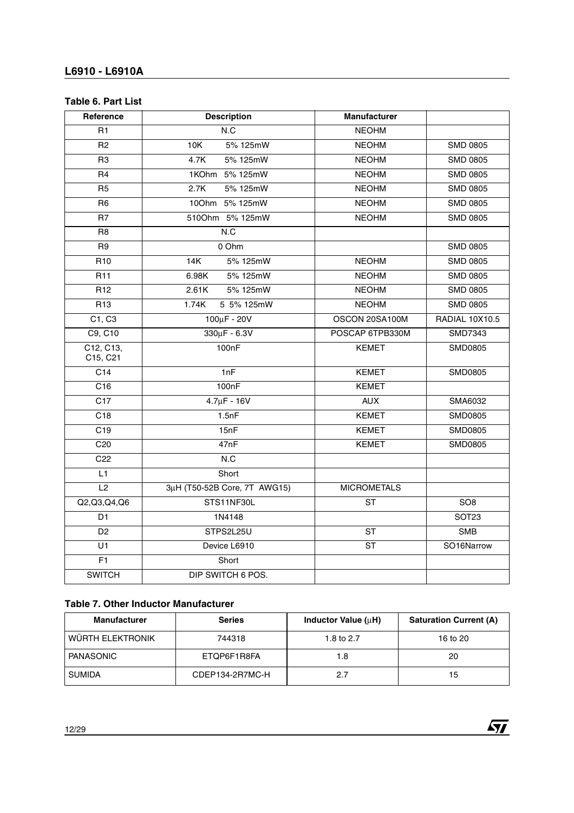#### **Table 6. Part List**

| Reference             | <b>Description</b>           | <b>Manufacturer</b>      |                       |
|-----------------------|------------------------------|--------------------------|-----------------------|
| R <sub>1</sub>        | N.C                          | <b>NEOHM</b>             |                       |
| R <sub>2</sub>        | 10K<br>5% 125mW              | <b>NEOHM</b>             | <b>SMD 0805</b>       |
| R <sub>3</sub>        | 4.7K<br>5% 125mW             | <b>NEOHM</b>             | <b>SMD 0805</b>       |
| R <sub>4</sub>        | 1KOhm 5% 125mW               | <b>NEOHM</b>             | <b>SMD 0805</b>       |
| R <sub>5</sub>        | 2.7K<br>5% 125mW             | <b>NEOHM</b>             | <b>SMD 0805</b>       |
| R <sub>6</sub>        | 100hm 5% 125mW               | <b>NEOHM</b>             | <b>SMD 0805</b>       |
| R7                    | 5100hm 5% 125mW              | <b>NEOHM</b>             | <b>SMD 0805</b>       |
| R <sub>8</sub>        | N.C                          |                          |                       |
| R <sub>9</sub>        | 0 Ohm                        |                          | <b>SMD 0805</b>       |
| R <sub>10</sub>       | 14K<br>5% 125mW              | <b>NEOHM</b>             | <b>SMD 0805</b>       |
| R <sub>11</sub>       | 5% 125mW<br>6.98K            | <b>NEOHM</b>             | <b>SMD 0805</b>       |
| R <sub>12</sub>       | 5% 125mW<br>2.61K            | <b>NEOHM</b>             | <b>SMD 0805</b>       |
| R <sub>13</sub>       | 5 5% 125mW<br>1.74K          | <b>NEOHM</b>             | <b>SMD 0805</b>       |
| C1, C3                | $100 \mu F - 20 V$           | OSCON 20SA100M           | <b>RADIAL 10X10.5</b> |
| C9, C10               | 330µF - 6.3V                 | POSCAP 6TPB330M          | SMD7343               |
| C12, C13,<br>C15, C21 | 100 <sub>n</sub> F           | <b>KEMET</b>             | <b>SMD0805</b>        |
| C <sub>14</sub>       | 1nF                          | <b>KEMET</b>             | SMD0805               |
| $\overline{C16}$      | 100nF                        | <b>KEMET</b>             |                       |
| $\overline{C17}$      | $4.7 \mu F - 16V$            | <b>AUX</b>               | SMA6032               |
| $\overline{C18}$      | 1.5nF                        | <b>KEMET</b>             | SMD0805               |
| C <sub>19</sub>       | 15nF                         | <b>KEMET</b>             | SMD0805               |
| C20                   | 47nF                         | <b>KEMET</b>             | SMD0805               |
| C <sub>22</sub>       | N.C                          |                          |                       |
| L1                    | Short                        |                          |                       |
| L2                    | 3µH (T50-52B Core, 7T AWG15) | <b>MICROMETALS</b>       |                       |
| Q2,Q3,Q4,Q6           | STS11NF30L                   | <b>ST</b>                | SO <sub>8</sub>       |
| D <sub>1</sub>        | 1N4148                       |                          | SOT <sub>23</sub>     |
| D <sub>2</sub>        | STPS2L25U                    | $\overline{\mathsf{ST}}$ | <b>SMB</b>            |
| $\overline{U}$ 1      | Device L6910                 | $\overline{\text{ST}}$   | SO16Narrow            |
| F1                    | Short                        |                          |                       |
| <b>SWITCH</b>         | DIP SWITCH 6 POS.            |                          |                       |

### **Table 7. Other Inductor Manufacturer**

| <b>Manufacturer</b> | <b>Series</b>   | Inductor Value (uH) | <b>Saturation Current (A)</b> |
|---------------------|-----------------|---------------------|-------------------------------|
| WÜRTH ELEKTRONIK    | 744318          | 1.8 to 2.7          | 16 to 20                      |
| PANASONIC           | ETQP6F1R8FA     | 1.8                 | 20                            |
| <b>SUMIDA</b>       | CDEP134-2R7MC-H | 2.7                 | 15                            |

 $\sqrt{1}$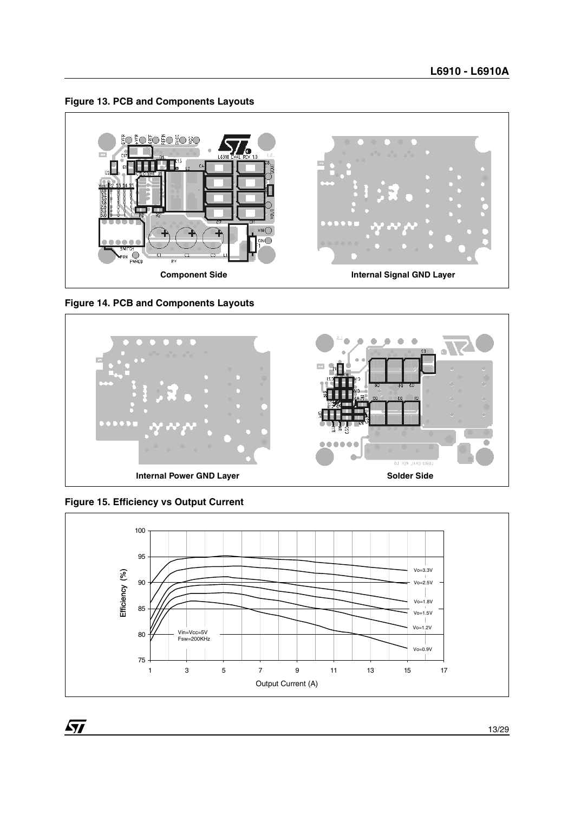**Figure 13. PCB and Components Layouts**



**Figure 14. PCB and Components Layouts**



**Figure 15. Efficiency vs Output Current**

 $\sqrt{11}$ 



13/29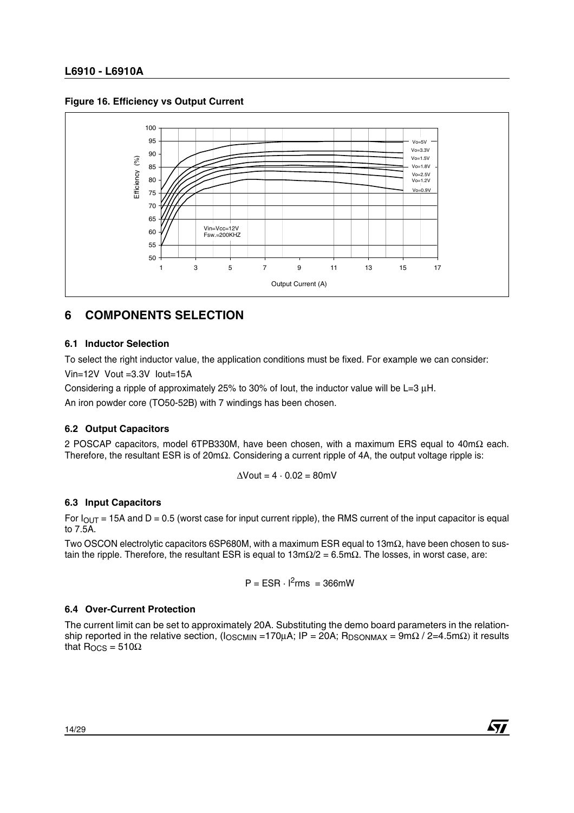#### **Figure 16. Efficiency vs Output Current**



### **6 COMPONENTS SELECTION**

#### **6.1 Inductor Selection**

To select the right inductor value, the application conditions must be fixed. For example we can consider: Vin=12V Vout =3.3V Iout=15A

Considering a ripple of approximately 25% to 30% of Iout, the inductor value will be L=3 µH.

An iron powder core (TO50-52B) with 7 windings has been chosen.

#### **6.2 Output Capacitors**

2 POSCAP capacitors, model 6TPB330M, have been chosen, with a maximum ERS equal to 40mΩ each. Therefore, the resultant ESR is of 20mΩ. Considering a current ripple of 4A, the output voltage ripple is:

$$
\Delta\text{Vout} = 4 \cdot 0.02 = 80 \text{mV}
$$

#### **6.3 Input Capacitors**

For  $I_{\text{OUT}}$  = 15A and D = 0.5 (worst case for input current ripple), the RMS current of the input capacitor is equal to 7.5A.

Two OSCON electrolytic capacitors 6SP680M, with a maximum ESR equal to 13mΩ, have been chosen to sustain the ripple. Therefore, the resultant ESR is equal to  $13m\Omega/2 = 6.5m\Omega$ . The losses, in worst case, are:

$$
P = ESR \cdot l^2 \text{rms} = 366 \text{mW}
$$

#### **6.4 Over-Current Protection**

The current limit can be set to approximately 20A. Substituting the demo board parameters in the relationship reported in the relative section, ( $\log_{\text{CMIN}} = 170 \mu\text{A}$ ; IP = 20A; R<sub>DSONMAX</sub> = 9m $\Omega$  / 2=4.5m $\Omega$ ) it results that  $R_{OCS} = 510\Omega$ 

$$
\sqrt{1/2}
$$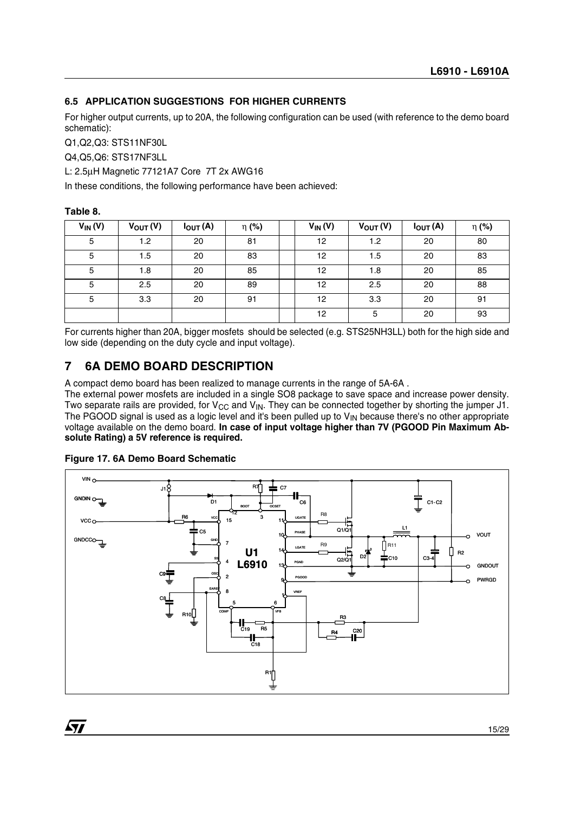#### **6.5 APPLICATION SUGGESTIONS FOR HIGHER CURRENTS**

For higher output currents, up to 20A, the following configuration can be used (with reference to the demo board schematic):

Q1,Q2,Q3: STS11NF30L

Q4,Q5,Q6: STS17NF3LL

L: 2.5µH Magnetic 77121A7 Core 7T 2x AWG16

In these conditions, the following performance have been achieved:

#### **Table 8.**

| $V_{IN}(V)$ | $V_{OUT}(V)$ | $I_{OUT}(A)$ | η (%) | $V_{IN}(V)$ | $V_{OUT}(V)$ | $I_{OUT}(A)$ | $\eta$ (%) |
|-------------|--------------|--------------|-------|-------------|--------------|--------------|------------|
| 5           | 1.2          | 20           | 81    | 12          | 1.2          | 20           | 80         |
| 5           | 1.5          | 20           | 83    | 12          | 1.5          | 20           | 83         |
| 5           | 1.8          | 20           | 85    | 12          | 1.8          | 20           | 85         |
| 5           | 2.5          | 20           | 89    | 12          | 2.5          | 20           | 88         |
| 5           | 3.3          | 20           | 91    | 12          | 3.3          | 20           | 91         |
|             |              |              |       | 12          | 5            | 20           | 93         |

For currents higher than 20A, bigger mosfets should be selected (e.g. STS25NH3LL) both for the high side and low side (depending on the duty cycle and input voltage).

### **7 6A DEMO BOARD DESCRIPTION**

A compact demo board has been realized to manage currents in the range of 5A-6A .

The external power mosfets are included in a single SO8 package to save space and increase power density. Two separate rails are provided, for  $V_{CC}$  and  $V_{IN}$ . They can be connected together by shorting the jumper J1. The PGOOD signal is used as a logic level and it's been pulled up to  $V_{\text{IN}}$  because there's no other appropriate voltage available on the demo board. **In case of input voltage higher than 7V (PGOOD Pin Maximum Absolute Rating) a 5V reference is required.**



#### **Figure 17. 6A Demo Board Schematic**

*ST*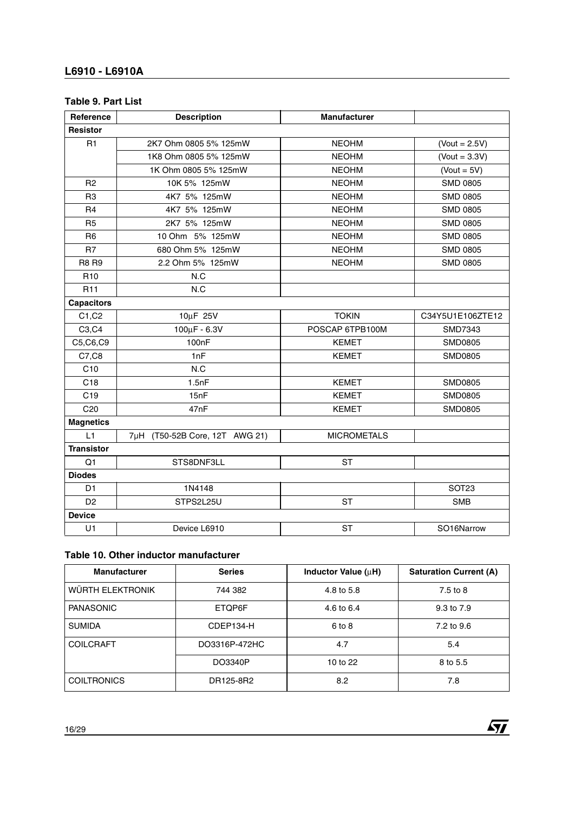#### **Table 9. Part List**

| Reference         | <b>Description</b>             | <b>Manufacturer</b> |                      |
|-------------------|--------------------------------|---------------------|----------------------|
| <b>Resistor</b>   |                                |                     |                      |
| R <sub>1</sub>    | 2K7 Ohm 0805 5% 125mW          | <b>NEOHM</b>        | $($ Vout = 2.5V $)$  |
|                   | 1K8 Ohm 0805 5% 125mW          | <b>NEOHM</b>        | $($ Vout = 3.3V $)$  |
|                   | 1K Ohm 0805 5% 125mW           | <b>NEOHM</b>        | $($ Vout = 5 $V$ $)$ |
| R <sub>2</sub>    | 10K 5% 125mW                   | <b>NEOHM</b>        | <b>SMD 0805</b>      |
| R <sub>3</sub>    | 4K7 5% 125mW                   | <b>NEOHM</b>        | <b>SMD 0805</b>      |
| R <sub>4</sub>    | 4K7 5% 125mW                   | <b>NEOHM</b>        | <b>SMD 0805</b>      |
| R <sub>5</sub>    | 2K7 5% 125mW                   | <b>NEOHM</b>        | <b>SMD 0805</b>      |
| R <sub>6</sub>    | 10 Ohm 5% 125mW                | <b>NEOHM</b>        | <b>SMD 0805</b>      |
| R <sub>7</sub>    | 680 Ohm 5% 125mW               | <b>NEOHM</b>        | <b>SMD 0805</b>      |
| <b>R8 R9</b>      | 2.2 Ohm 5% 125mW               | <b>NEOHM</b>        | <b>SMD 0805</b>      |
| R <sub>10</sub>   | N.C                            |                     |                      |
| R <sub>11</sub>   | N.C                            |                     |                      |
| <b>Capacitors</b> |                                |                     |                      |
| C1, C2            | 10µF 25V                       | <b>TOKIN</b>        | C34Y5U1E106ZTE12     |
| C3, C4            | $100 \mu F - 6.3 V$            | POSCAP 6TPB100M     | SMD7343              |
| C5,C6,C9          | 100nF                          | <b>KEMET</b>        | <b>SMD0805</b>       |
| C7, C8            | 1nF                            | <b>KEMET</b>        | <b>SMD0805</b>       |
| C10               | N.C                            |                     |                      |
| C <sub>18</sub>   | 1.5nF                          | <b>KEMET</b>        | <b>SMD0805</b>       |
| C <sub>19</sub>   | 15nF                           | <b>KEMET</b>        | <b>SMD0805</b>       |
| C <sub>20</sub>   | 47nF                           | <b>KEMET</b>        | <b>SMD0805</b>       |
| <b>Magnetics</b>  |                                |                     |                      |
| L1                | 7µH (T50-52B Core, 12T AWG 21) | <b>MICROMETALS</b>  |                      |
| <b>Transistor</b> |                                |                     |                      |
| Q <sub>1</sub>    | STS8DNF3LL                     | <b>ST</b>           |                      |
| <b>Diodes</b>     |                                |                     |                      |
| D <sub>1</sub>    | 1N4148                         |                     | SOT <sub>23</sub>    |
| D <sub>2</sub>    | STPS2L25U                      | <b>ST</b>           | <b>SMB</b>           |
| <b>Device</b>     |                                |                     |                      |
| U1                | Device L6910                   | <b>ST</b>           | SO16Narrow           |

### **Table 10. Other inductor manufacturer**

| <b>Manufacturer</b> | <b>Series</b> | Inductor Value (uH) | <b>Saturation Current (A)</b> |
|---------------------|---------------|---------------------|-------------------------------|
| WÜRTH ELEKTRONIK    | 744 382       | 4.8 to 5.8          | 7.5 to 8                      |
| <b>PANASONIC</b>    | ETQP6F        | 4.6 to 6.4          | 9.3 to 7.9                    |
| <b>SUMIDA</b>       | CDEP134-H     | $6$ to $8$          | 7.2 to 9.6                    |
| <b>COILCRAFT</b>    | DO3316P-472HC | 4.7                 | 5.4                           |
|                     | DO3340P       | 10 to 22            | 8 to 5.5                      |
| <b>COILTRONICS</b>  | DR125-8R2     | 8.2                 | 7.8                           |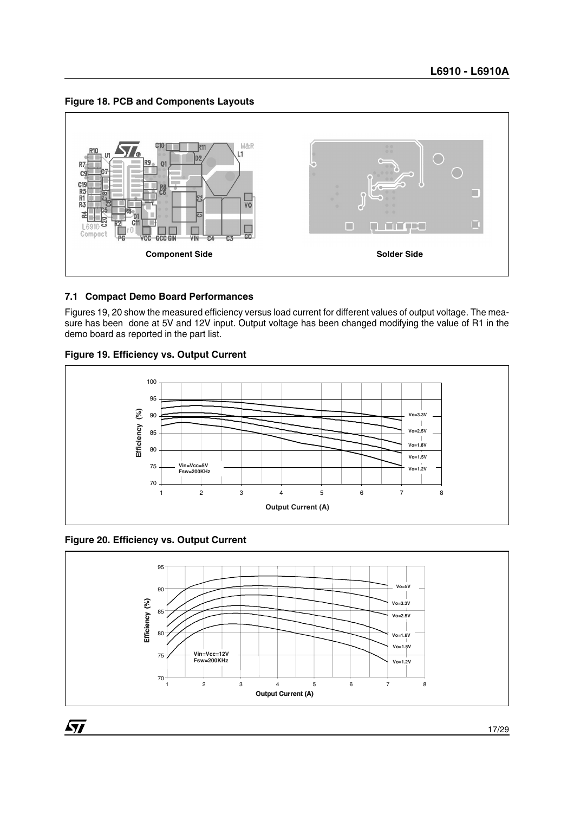**Figure 18. PCB and Components Layouts**



#### **7.1 Compact Demo Board Performances**

Figures 19, 20 show the measured efficiency versus load current for different values of output voltage. The measure has been done at 5V and 12V input. Output voltage has been changed modifying the value of R1 in the demo board as reported in the part list.





**Figure 20. Efficiency vs. Output Current**

 $\sqrt{27}$ 

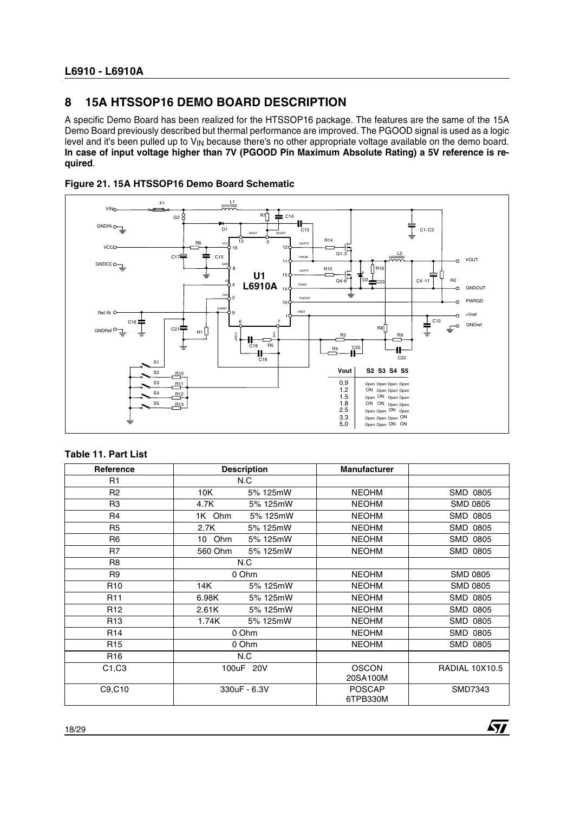### **8 15A HTSSOP16 DEMO BOARD DESCRIPTION**

A specific Demo Board has been realized for the HTSSOP16 package. The features are the same of the 15A Demo Board previously described but thermal performance are improved. The PGOOD signal is used as a logic level and it's been pulled up to V<sub>IN</sub> because there's no other appropriate voltage available on the demo board. **In case of input voltage higher than 7V (PGOOD Pin Maximum Absolute Rating) a 5V reference is required**.





#### **Table 11. Part List**

| Reference       | <b>Description</b>  | <b>Manufacturer</b>       |                       |
|-----------------|---------------------|---------------------------|-----------------------|
| R <sub>1</sub>  | N.C                 |                           |                       |
| R <sub>2</sub>  | 10K<br>5% 125mW     | <b>NEOHM</b>              | SMD 0805              |
| R <sub>3</sub>  | 4.7K<br>5% 125mW    | <b>NEOHM</b>              | <b>SMD 0805</b>       |
| R <sub>4</sub>  | 1K Ohm<br>5% 125mW  | <b>NEOHM</b>              | SMD 0805              |
| R <sub>5</sub>  | 2.7K<br>5% 125mW    | <b>NEOHM</b>              | SMD 0805              |
| R <sub>6</sub>  | 10 Ohm<br>5% 125mW  | <b>NEOHM</b>              | SMD 0805              |
| R <sub>7</sub>  | 560 Ohm<br>5% 125mW | <b>NEOHM</b>              | SMD 0805              |
| R <sub>8</sub>  | N.C                 |                           |                       |
| R <sub>9</sub>  | 0 Ohm               | <b>NEOHM</b>              | <b>SMD 0805</b>       |
| R <sub>10</sub> | 14K<br>5% 125mW     | <b>NEOHM</b>              | <b>SMD 0805</b>       |
| R <sub>11</sub> | 6.98K<br>5% 125mW   | <b>NEOHM</b>              | SMD 0805              |
| R <sub>12</sub> | 2.61K<br>5% 125mW   | <b>NEOHM</b>              | SMD 0805              |
| R <sub>13</sub> | 1.74K<br>5% 125mW   | <b>NEOHM</b>              | SMD 0805              |
| R <sub>14</sub> | 0 Ohm               | <b>NEOHM</b>              | SMD 0805              |
| R <sub>15</sub> | 0 Ohm               | <b>NEOHM</b>              | SMD 0805              |
| R <sub>16</sub> | N.C                 |                           |                       |
| C1, C3          | 100uF 20V           | <b>OSCON</b><br>20SA100M  | <b>RADIAL 10X10.5</b> |
| C9,C10          | 330uF - 6.3V        | <b>POSCAP</b><br>6TPB330M | SMD7343               |

*ST*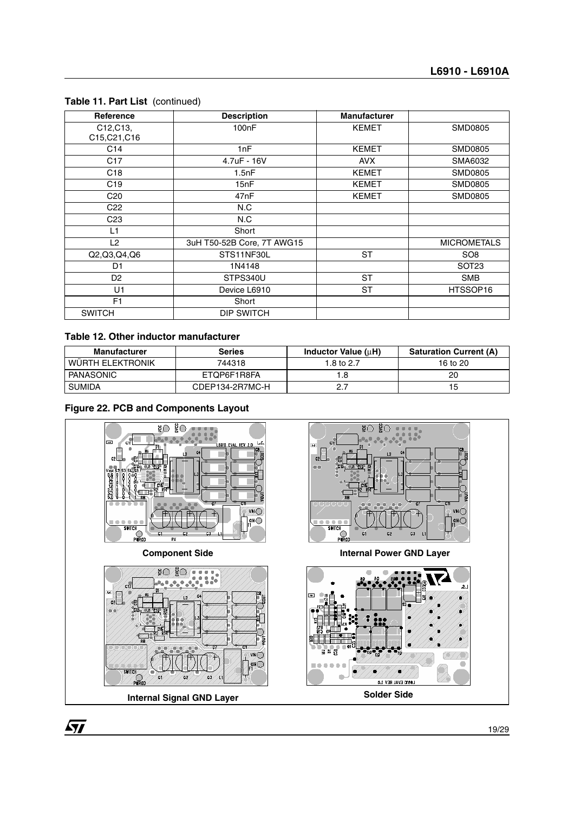| Reference                                          | <b>Description</b>         | <b>Manufacturer</b> |                    |
|----------------------------------------------------|----------------------------|---------------------|--------------------|
| C <sub>12</sub> , C <sub>13</sub> ,<br>C15,C21,C16 | 100 <sub>n</sub> F         | <b>KEMET</b>        | SMD0805            |
| C <sub>14</sub>                                    | 1nF                        | <b>KEMET</b>        | SMD0805            |
| C <sub>17</sub>                                    | 4.7uF - 16V                | <b>AVX</b>          | SMA6032            |
| C <sub>18</sub>                                    | 1.5nF                      | <b>KEMET</b>        | SMD0805            |
| C19                                                | 15nF                       | <b>KEMET</b>        | <b>SMD0805</b>     |
| C <sub>20</sub>                                    | 47nF                       | <b>KEMET</b>        | <b>SMD0805</b>     |
| C <sub>22</sub>                                    | N.C                        |                     |                    |
| C <sub>23</sub>                                    | N.C                        |                     |                    |
| L1                                                 | Short                      |                     |                    |
| L <sub>2</sub>                                     | 3uH T50-52B Core, 7T AWG15 |                     | <b>MICROMETALS</b> |
| Q2, Q3, Q4, Q6                                     | STS11NF30L                 | ST                  | SO <sub>8</sub>    |
| D <sub>1</sub>                                     | 1N4148                     |                     | SOT <sub>23</sub>  |
| D <sub>2</sub>                                     | STPS340U                   | <b>ST</b>           | <b>SMB</b>         |
| U1                                                 | Device L6910               | <b>ST</b>           | HTSSOP16           |
| F <sub>1</sub>                                     | Short                      |                     |                    |
| <b>SWITCH</b>                                      | DIP SWITCH                 |                     |                    |

#### **Table 11. Part List** (continued)

#### **Table 12. Other inductor manufacturer**

| <b>Manufacturer</b> | <b>Series</b>   | Inductor Value $(\mu H)$ | <b>Saturation Current (A)</b> |
|---------------------|-----------------|--------------------------|-------------------------------|
| WÜRTH ELEKTRONIK    | 744318          | 1.8 to 2.7               | 16 to 20                      |
| PANASONIC           | ETOP6F1R8FA     |                          | 20                            |
| <b>SUMIDA</b>       | CDEP134-2R7MC-H | 2.7                      | 15                            |

#### **Figure 22. PCB and Components Layout**



**Internal Signal GND Layer Solder Side** 

19/29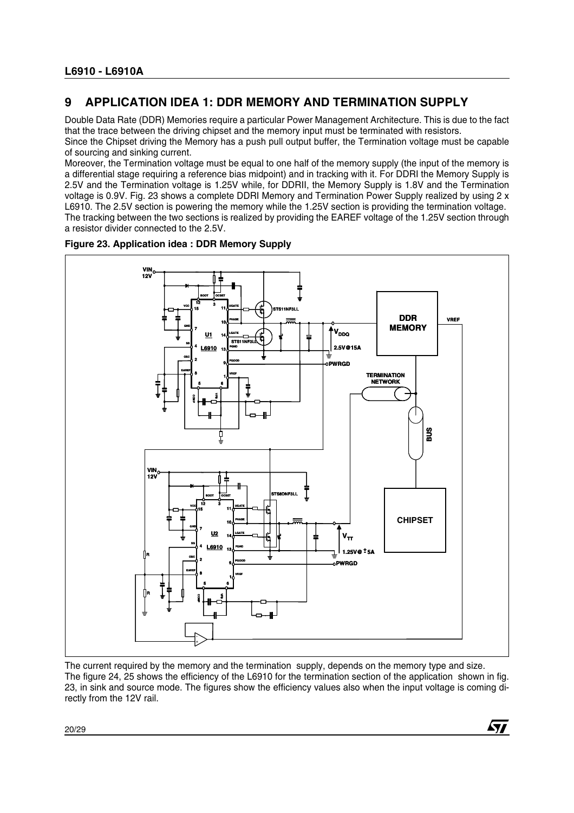### **9 APPLICATION IDEA 1: DDR MEMORY AND TERMINATION SUPPLY**

Double Data Rate (DDR) Memories require a particular Power Management Architecture. This is due to the fact that the trace between the driving chipset and the memory input must be terminated with resistors. Since the Chipset driving the Memory has a push pull output buffer, the Termination voltage must be capable

of sourcing and sinking current.

Moreover, the Termination voltage must be equal to one half of the memory supply (the input of the memory is a differential stage requiring a reference bias midpoint) and in tracking with it. For DDRI the Memory Supply is 2.5V and the Termination voltage is 1.25V while, for DDRII, the Memory Supply is 1.8V and the Termination voltage is 0.9V. Fig. 23 shows a complete DDRI Memory and Termination Power Supply realized by using 2 x L6910. The 2.5V section is powering the memory while the 1.25V section is providing the termination voltage. The tracking between the two sections is realized by providing the EAREF voltage of the 1.25V section through a resistor divider connected to the 2.5V.



#### **Figure 23. Application idea : DDR Memory Supply**



The current required by the memory and the termination supply, depends on the memory type and size. The figure 24, 25 shows the efficiency of the L6910 for the termination section of the application shown in fig. 23, in sink and source mode. The figures show the efficiency values also when the input voltage is coming directly from the 12V rail.

57

20/29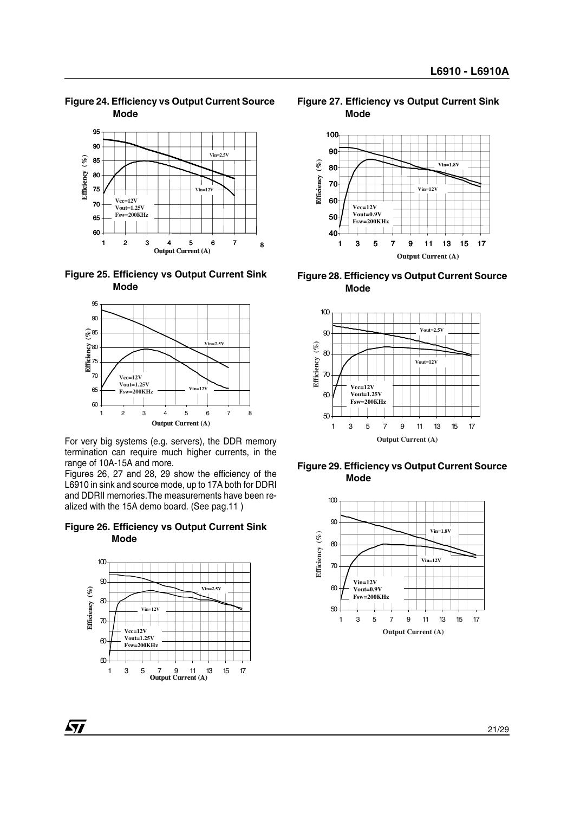**Figure 24. Efficiency vs Output Current Source Mode** 



**Figure 25. Efficiency vs Output Current Sink Mode** 



For very big systems (e.g. servers), the DDR memory termination can require much higher currents, in the range of 10A-15A and more.

Figures 26, 27 and 28, 29 show the efficiency of the L6910 in sink and source mode, up to 17A both for DDRI and DDRII memories.The measurements have been realized with the 15A demo board. (See pag.11 )

#### **Figure 26. Efficiency vs Output Current Sink Mode**



**Figure 27. Efficiency vs Output Current Sink Mode** 



**Figure 28. Efficiency vs Output Current Source Mode**



**Figure 29. Efficiency vs Output Current Source Mode**



*ST*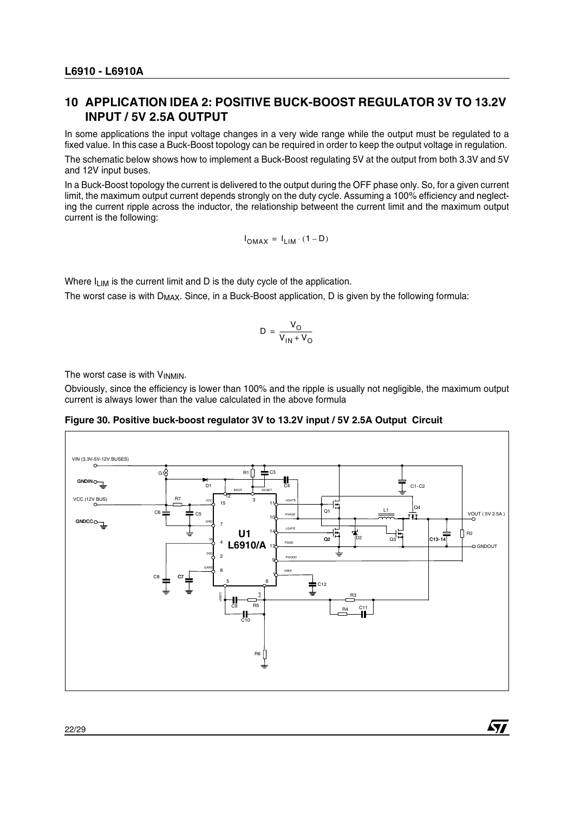### **10 APPLICATION IDEA 2: POSITIVE BUCK-BOOST REGULATOR 3V TO 13.2V INPUT / 5V 2.5A OUTPUT**

In some applications the input voltage changes in a very wide range while the output must be regulated to a fixed value. In this case a Buck-Boost topology can be required in order to keep the output voltage in regulation.

The schematic below shows how to implement a Buck-Boost regulating 5V at the output from both 3.3V and 5V and 12V input buses.

In a Buck-Boost topology the current is delivered to the output during the OFF phase only. So, for a given current limit, the maximum output current depends strongly on the duty cycle. Assuming a 100% efficiency and neglecting the current ripple across the inductor, the relationship betweent the current limit and the maximum output current is the following:

$$
I_{OMAX} = I_{LIM} \cdot (1 - D)
$$

Where  $I_{LIM}$  is the current limit and D is the duty cycle of the application.

The worst case is with D<sub>MAX</sub>. Since, in a Buck-Boost application, D is given by the following formula:

$$
D = \frac{V_O}{V_{IN} + V_O}
$$

The worst case is with  $V_{INMIN}$ .

Obviously, since the efficiency is lower than 100% and the ripple is usually not negligible, the maximum output current is always lower than the value calculated in the above formula

**Figure 30. Positive buck-boost regulator 3V to 13.2V input / 5V 2.5A Output Circuit** 



57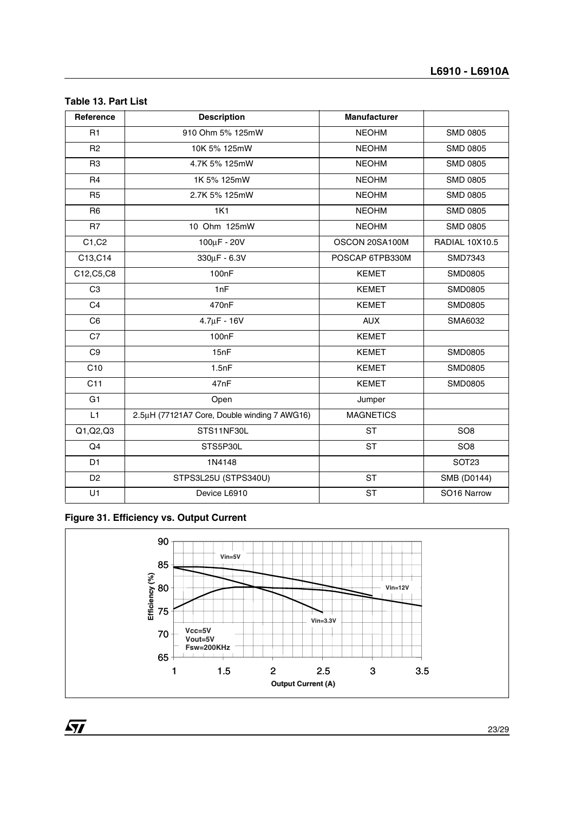#### **Table 13. Part List**

| Reference      | <b>Description</b>                           | <b>Manufacturer</b> |                       |
|----------------|----------------------------------------------|---------------------|-----------------------|
| R1             | 910 Ohm 5% 125mW                             | <b>NEOHM</b>        | <b>SMD 0805</b>       |
| R <sub>2</sub> | 10K 5% 125mW                                 | <b>NEOHM</b>        | <b>SMD 0805</b>       |
| R <sub>3</sub> | 4.7K 5% 125mW                                | <b>NEOHM</b>        | <b>SMD 0805</b>       |
| R <sub>4</sub> | 1K 5% 125mW                                  | <b>NEOHM</b>        | <b>SMD 0805</b>       |
| R <sub>5</sub> | 2.7K 5% 125mW                                | <b>NEOHM</b>        | <b>SMD 0805</b>       |
| R <sub>6</sub> | <b>1K1</b>                                   | <b>NEOHM</b>        | <b>SMD 0805</b>       |
| R7             | 10 Ohm 125mW                                 | <b>NEOHM</b>        | <b>SMD 0805</b>       |
| C1, C2         | 100µF - 20V                                  | OSCON 20SA100M      | <b>RADIAL 10X10.5</b> |
| C13,C14        | $330 \mu F - 6.3 V$                          | POSCAP 6TPB330M     | SMD7343               |
| C12, C5, C8    | 100nF                                        | <b>KEMET</b>        | SMD0805               |
| C <sub>3</sub> | 1nF                                          | <b>KEMET</b>        | <b>SMD0805</b>        |
| C <sub>4</sub> | 470nF                                        | <b>KEMET</b>        | <b>SMD0805</b>        |
| C <sub>6</sub> | $4.7 \mu F - 16V$                            | <b>AUX</b>          | SMA6032               |
| C7             | 100nF                                        | <b>KEMET</b>        |                       |
| C9             | 15nF                                         | <b>KEMET</b>        | <b>SMD0805</b>        |
| C10            | 1.5nF                                        | <b>KEMET</b>        | <b>SMD0805</b>        |
| C11            | 47nF                                         | <b>KEMET</b>        | <b>SMD0805</b>        |
| G <sub>1</sub> | Open<br>Jumper                               |                     |                       |
| L1             | 2.5µH (77121A7 Core, Double winding 7 AWG16) | <b>MAGNETICS</b>    |                       |
| Q1, Q2, Q3     | STS11NF30L                                   | <b>ST</b>           | SO <sub>8</sub>       |
| Q <sub>4</sub> | STS5P30L                                     | <b>ST</b>           | SO <sub>8</sub>       |
| D <sub>1</sub> | 1N4148                                       |                     | SOT <sub>23</sub>     |
| D <sub>2</sub> | STPS3L25U (STPS340U)                         | <b>ST</b>           | SMB (D0144)           |
| U1             | Device L6910                                 | <b>ST</b>           | SO16 Narrow           |

### **Figure 31. Efficiency vs. Output Current**

 $\overline{M}$ 

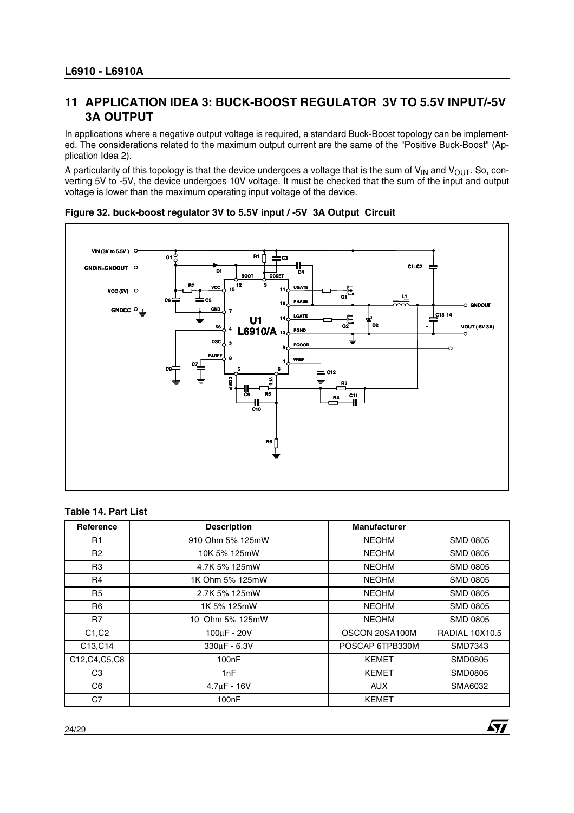### **11 APPLICATION IDEA 3: BUCK-BOOST REGULATOR 3V TO 5.5V INPUT/-5V 3A OUTPUT**

In applications where a negative output voltage is required, a standard Buck-Boost topology can be implemented. The considerations related to the maximum output current are the same of the "Positive Buck-Boost" (Application Idea 2).

A particularity of this topology is that the device undergoes a voltage that is the sum of  $V_{IN}$  and  $V_{OUT}$ . So, converting 5V to -5V, the device undergoes 10V voltage. It must be checked that the sum of the input and output voltage is lower than the maximum operating input voltage of the device.



#### **Figure 32. buck-boost regulator 3V to 5.5V input / -5V 3A Output Circuit**

#### **Table 14. Part List**

| <b>Reference</b>                | <b>Description</b>                   | <b>Manufacturer</b>   |                       |
|---------------------------------|--------------------------------------|-----------------------|-----------------------|
| R1                              | 910 Ohm 5% 125mW                     | <b>NEOHM</b>          | <b>SMD 0805</b>       |
| R <sub>2</sub>                  | <b>NEOHM</b><br>10K 5% 125mW         |                       | <b>SMD 0805</b>       |
| R <sub>3</sub>                  | <b>NEOHM</b><br>4.7K 5% 125mW        |                       | <b>SMD 0805</b>       |
| R <sub>4</sub>                  | <b>NEOHM</b><br>1K Ohm 5% 125mW      |                       | <b>SMD 0805</b>       |
| R <sub>5</sub>                  | 2.7K 5% 125mW                        | <b>NEOHM</b>          | <b>SMD 0805</b>       |
| R <sub>6</sub>                  | 1K 5% 125mW                          | <b>NEOHM</b>          | <b>SMD 0805</b>       |
| R7                              | 10 Ohm 5% 125mW                      | <b>NEOHM</b>          | <b>SMD 0805</b>       |
| C <sub>1</sub> , C <sub>2</sub> | $100 \mu F - 20 V$                   | OSCON 20SA100M        | <b>RADIAL 10X10.5</b> |
| C13, C14                        | $330\mu$ F - 6.3V<br>POSCAP 6TPB330M |                       | SMD7343               |
| C12, C4, C5, C8                 | 100 <sub>n</sub> F                   | <b>KEMET</b>          | SMD0805               |
| C <sub>3</sub>                  | 1nF                                  | <b>KEMET</b>          | SMD0805               |
| C6                              | $4.7\mu$ F - 16V                     | <b>AUX</b><br>SMA6032 |                       |
| C7                              | 100 <sub>n</sub> F                   | <b>KEMET</b>          |                       |

 $\sqrt{1}$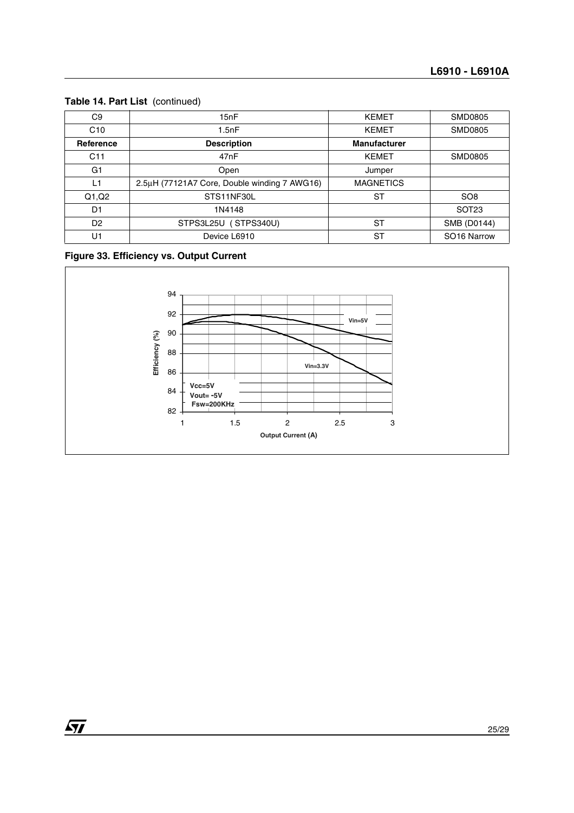### **Table 14. Part List** (continued)

| C <sub>9</sub>  | 15nF                                                             | <b>KEMET</b>        | <b>SMD0805</b>          |
|-----------------|------------------------------------------------------------------|---------------------|-------------------------|
| C10             | 1.5nF                                                            | <b>KEMET</b>        | <b>SMD0805</b>          |
| Reference       | <b>Description</b>                                               | <b>Manufacturer</b> |                         |
| C <sub>11</sub> | 47nF                                                             | <b>KEMET</b>        | SMD0805                 |
| G <sub>1</sub>  | Open<br>Jumper                                                   |                     |                         |
| L1              | 2.5µH (77121A7 Core, Double winding 7 AWG16)<br><b>MAGNETICS</b> |                     |                         |
| Q1,Q2           | STS11NF30L                                                       | ST                  | SO <sub>8</sub>         |
| D <sub>1</sub>  | 1N4148                                                           |                     | SOT <sub>23</sub>       |
| D <sub>2</sub>  | STPS3L25U (STPS340U)<br>ST                                       |                     | SMB (D0144)             |
| U1              | ST<br>Device L6910                                               |                     | SO <sub>16</sub> Narrow |

### **Figure 33. Efficiency vs. Output Current**

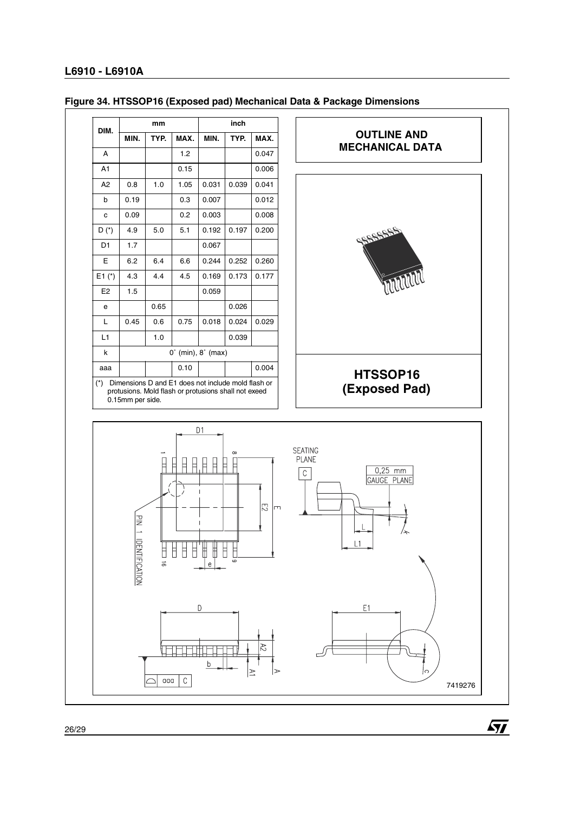

#### **Figure 34. HTSSOP16 (Exposed pad) Mechanical Data & Package Dimensions**

 $\sqrt{27}$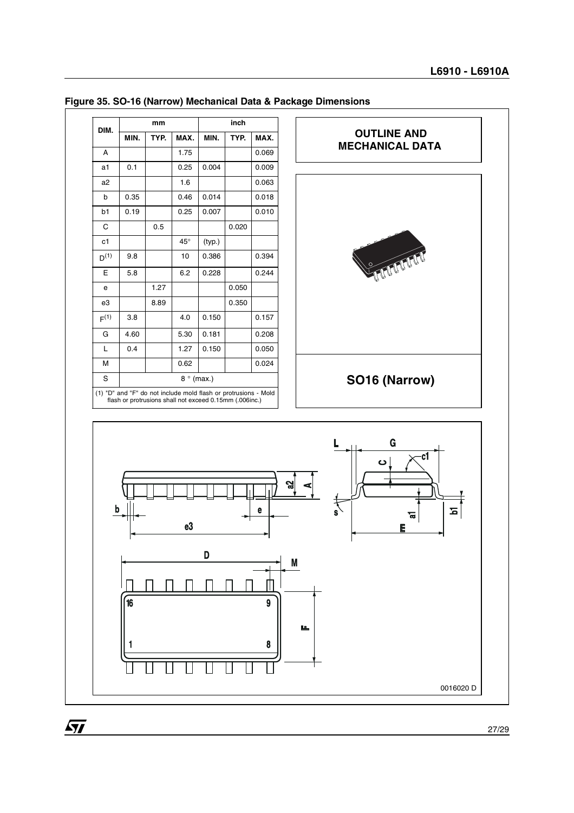

#### **Figure 35. SO-16 (Narrow) Mechanical Data & Package Dimensions**

27/29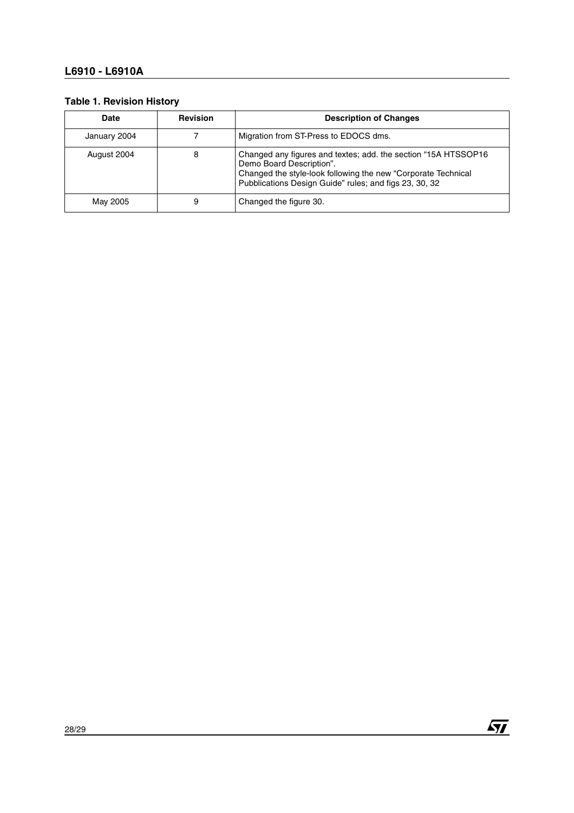#### **Table 1. Revision History**

| <b>Date</b>  | <b>Revision</b> | <b>Description of Changes</b>                                                                                                                                                                                         |
|--------------|-----------------|-----------------------------------------------------------------------------------------------------------------------------------------------------------------------------------------------------------------------|
| January 2004 |                 | Migration from ST-Press to EDOCS dms.                                                                                                                                                                                 |
| August 2004  | 8               | Changed any figures and textes; add. the section "15A HTSSOP16<br>Demo Board Description".<br>Changed the style-look following the new "Corporate Technical<br>Pubblications Design Guide" rules; and figs 23, 30, 32 |
| May 2005     | 9               | Changed the figure 30.                                                                                                                                                                                                |

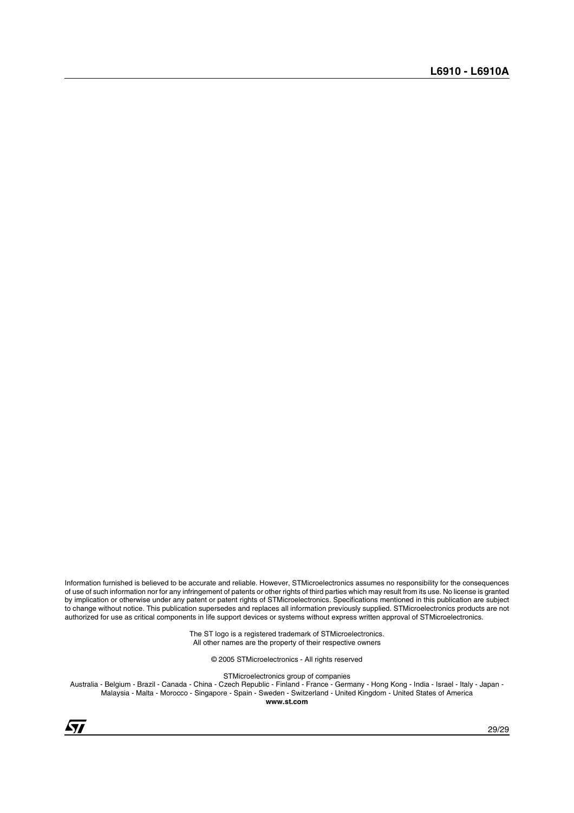Information furnished is believed to be accurate and reliable. However, STMicroelectronics assumes no responsibility for the consequences of use of such information nor for any infringement of patents or other rights of third parties which may result from its use. No license is granted by implication or otherwise under any patent or patent rights of STMicroelectronics. Specifications mentioned in this publication are subject to change without notice. This publication supersedes and replaces all information previously supplied. STMicroelectronics products are not authorized for use as critical components in life support devices or systems without express written approval of STMicroelectronics.

> The ST logo is a registered trademark of STMicroelectronics. All other names are the property of their respective owners

> > © 2005 STMicroelectronics - All rights reserved

STMicroelectronics group of companies

Australia - Belgium - Brazil - Canada - China - Czech Republic - Finland - France - Germany - Hong Kong - India - Israel - Italy - Japan - Malaysia - Malta - Morocco - Singapore - Spain - Sweden - Switzerland - United Kingdom - United States of America **www.st.com**

 $\sqrt{1}$